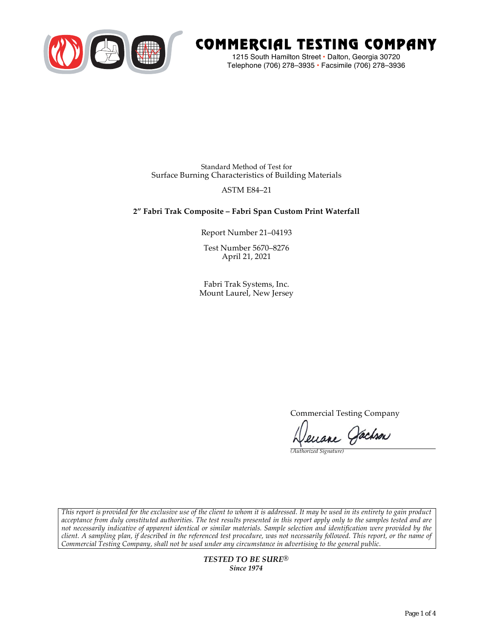

# COMMERCIAL TESTING COMPANY

1215 South Hamilton Street • Dalton, Georgia 30720 Telephone (706) 278–3935 **•** Facsimile (706) 278–3936

Standard Method of Test for Surface Burning Characteristics of Building Materials

# ASTM E84–21

# **2" Fabri Trak Composite – Fabri Span Custom Print Waterfall**

Report Number 21–04193

Test Number 5670–8276 April 21, 2021

Fabri Trak Systems, Inc. Mount Laurel, New Jersey

Commercial Testing Company

Lenane Jachson

*(Authorized Signature)* 

*This report is provided for the exclusive use of the client to whom it is addressed. It may be used in its entirety to gain product acceptance from duly constituted authorities. The test results presented in this report apply only to the samples tested and are not necessarily indicative of apparent identical or similar materials. Sample selection and identification were provided by the client. A sampling plan, if described in the referenced test procedure, was not necessarily followed. This report, or the name of Commercial Testing Company, shall not be used under any circumstance in advertising to the general public.* 

> *TESTED TO BE SURE® Since 1974*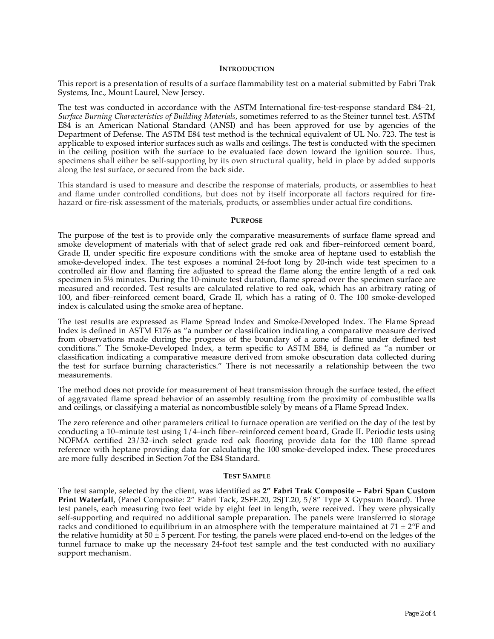## **INTRODUCTION**

This report is a presentation of results of a surface flammability test on a material submitted by Fabri Trak Systems, Inc., Mount Laurel, New Jersey.

The test was conducted in accordance with the ASTM International fire-test-response standard E84–21, *Surface Burning Characteristics of Building Materials*, sometimes referred to as the Steiner tunnel test. ASTM E84 is an American National Standard (ANSI) and has been approved for use by agencies of the Department of Defense. The ASTM E84 test method is the technical equivalent of UL No. 723. The test is applicable to exposed interior surfaces such as walls and ceilings. The test is conducted with the specimen in the ceiling position with the surface to be evaluated face down toward the ignition source. Thus, specimens shall either be self-supporting by its own structural quality, held in place by added supports along the test surface, or secured from the back side.

This standard is used to measure and describe the response of materials, products, or assemblies to heat and flame under controlled conditions, but does not by itself incorporate all factors required for firehazard or fire-risk assessment of the materials, products, or assemblies under actual fire conditions.

## **PURPOSE**

The purpose of the test is to provide only the comparative measurements of surface flame spread and smoke development of materials with that of select grade red oak and fiber–reinforced cement board, Grade II, under specific fire exposure conditions with the smoke area of heptane used to establish the smoke-developed index. The test exposes a nominal 24-foot long by 20-inch wide test specimen to a controlled air flow and flaming fire adjusted to spread the flame along the entire length of a red oak specimen in  $5\frac{1}{2}$  minutes. During the 10-minute test duration, flame spread over the specimen surface are measured and recorded. Test results are calculated relative to red oak, which has an arbitrary rating of 100, and fiber–reinforced cement board, Grade II, which has a rating of 0. The 100 smoke-developed index is calculated using the smoke area of heptane.

The test results are expressed as Flame Spread Index and Smoke-Developed Index. The Flame Spread Index is defined in ASTM E176 as "a number or classification indicating a comparative measure derived from observations made during the progress of the boundary of a zone of flame under defined test conditions." The Smoke-Developed Index, a term specific to ASTM E84, is defined as "a number or classification indicating a comparative measure derived from smoke obscuration data collected during the test for surface burning characteristics." There is not necessarily a relationship between the two measurements.

The method does not provide for measurement of heat transmission through the surface tested, the effect of aggravated flame spread behavior of an assembly resulting from the proximity of combustible walls and ceilings, or classifying a material as noncombustible solely by means of a Flame Spread Index.

The zero reference and other parameters critical to furnace operation are verified on the day of the test by conducting a 10–minute test using 1/4–inch fiber–reinforced cement board, Grade II. Periodic tests using NOFMA certified 23/32–inch select grade red oak flooring provide data for the 100 flame spread reference with heptane providing data for calculating the 100 smoke-developed index. These procedures are more fully described in Section 7of the E84 Standard.

#### **TEST SAMPLE**

The test sample, selected by the client, was identified as **2" Fabri Trak Composite – Fabri Span Custom Print Waterfall**, (Panel Composite: 2" Fabri Tack, 2SFE.20, 2SJT.20, 5/8" Type X Gypsum Board). Three test panels, each measuring two feet wide by eight feet in length, were received. They were physically self-supporting and required no additional sample preparation. The panels were transferred to storage racks and conditioned to equilibrium in an atmosphere with the temperature maintained at  $71 \pm 2$ °F and the relative humidity at  $50 \pm 5$  percent. For testing, the panels were placed end-to-end on the ledges of the tunnel furnace to make up the necessary 24-foot test sample and the test conducted with no auxiliary support mechanism.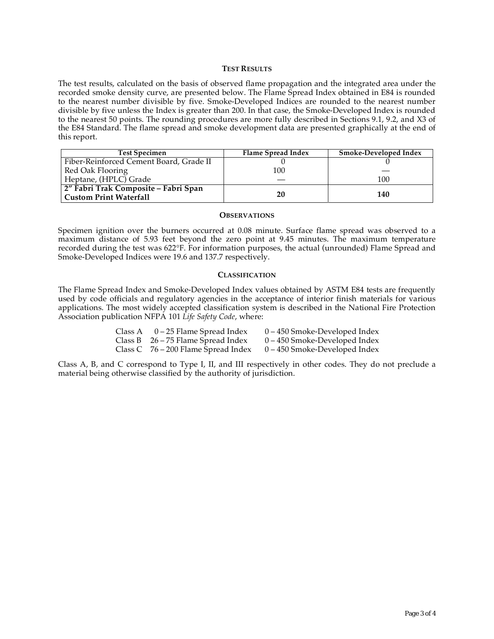## **TEST RESULTS**

The test results, calculated on the basis of observed flame propagation and the integrated area under the recorded smoke density curve, are presented below. The Flame Spread Index obtained in E84 is rounded to the nearest number divisible by five. Smoke-Developed Indices are rounded to the nearest number divisible by five unless the Index is greater than 200. In that case, the Smoke-Developed Index is rounded to the nearest 50 points. The rounding procedures are more fully described in Sections 9.1, 9.2, and X3 of the E84 Standard. The flame spread and smoke development data are presented graphically at the end of this report.

| <b>Test Specimen</b>                    | Flame Spread Index | <b>Smoke-Developed Index</b> |
|-----------------------------------------|--------------------|------------------------------|
| Fiber-Reinforced Cement Board, Grade II |                    |                              |
| Red Oak Flooring                        | 100                |                              |
| Heptane, (HPLC) Grade                   |                    | 100                          |
| 2" Fabri Trak Composite – Fabri Span    |                    |                              |
| <b>Custom Print Waterfall</b>           | 20                 | 140                          |

#### **OBSERVATIONS**

Specimen ignition over the burners occurred at 0.08 minute. Surface flame spread was observed to a maximum distance of 5.93 feet beyond the zero point at 9.45 minutes. The maximum temperature recorded during the test was 622°F. For information purposes, the actual (unrounded) Flame Spread and Smoke-Developed Indices were 19.6 and 137.7 respectively.

## **CLASSIFICATION**

The Flame Spread Index and Smoke-Developed Index values obtained by ASTM E84 tests are frequently used by code officials and regulatory agencies in the acceptance of interior finish materials for various applications. The most widely accepted classification system is described in the National Fire Protection Association publication NFPA 101 *Life Safety Code*, where:

| Class A | 0 – 25 Flame Spread Index             | 0 – 450 Smoke-Developed Index   |
|---------|---------------------------------------|---------------------------------|
|         | Class B $26 - 75$ Flame Spread Index  | $0 - 450$ Smoke-Developed Index |
|         | Class C $76 - 200$ Flame Spread Index | 0 – 450 Smoke-Developed Index   |

Class A, B, and C correspond to Type I, II, and III respectively in other codes. They do not preclude a material being otherwise classified by the authority of jurisdiction.